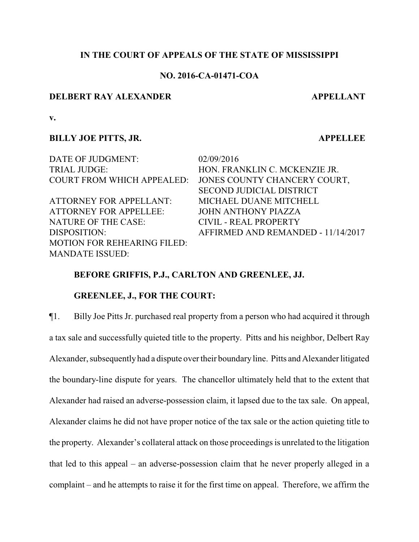## **IN THE COURT OF APPEALS OF THE STATE OF MISSISSIPPI**

## **NO. 2016-CA-01471-COA**

## **DELBERT RAY ALEXANDER APPELLANT**

**v.**

#### **BILLY JOE PITTS, JR. APPELLEE**

DATE OF JUDGMENT: 02/09/2016 TRIAL JUDGE: HON. FRANKLIN C. MCKENZIE JR.

ATTORNEY FOR APPELLANT: MICHAEL DUANE MITCHELL ATTORNEY FOR APPELLEE: JOHN ANTHONY PIAZZA NATURE OF THE CASE: CIVIL - REAL PROPERTY MOTION FOR REHEARING FILED: MANDATE ISSUED:

COURT FROM WHICH APPEALED: JONES COUNTY CHANCERY COURT, SECOND JUDICIAL DISTRICT DISPOSITION: AFFIRMED AND REMANDED - 11/14/2017

## **BEFORE GRIFFIS, P.J., CARLTON AND GREENLEE, JJ.**

## **GREENLEE, J., FOR THE COURT:**

¶1. Billy Joe Pitts Jr. purchased real property from a person who had acquired it through a tax sale and successfully quieted title to the property. Pitts and his neighbor, Delbert Ray Alexander, subsequentlyhad a dispute over their boundary line. Pitts and Alexander litigated the boundary-line dispute for years. The chancellor ultimately held that to the extent that Alexander had raised an adverse-possession claim, it lapsed due to the tax sale. On appeal, Alexander claims he did not have proper notice of the tax sale or the action quieting title to the property. Alexander's collateral attack on those proceedings is unrelated to the litigation that led to this appeal – an adverse-possession claim that he never properly alleged in a complaint – and he attempts to raise it for the first time on appeal. Therefore, we affirm the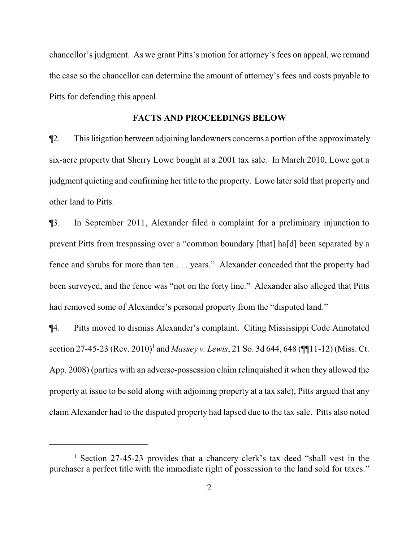chancellor's judgment. As we grant Pitts's motion for attorney's fees on appeal, we remand the case so the chancellor can determine the amount of attorney's fees and costs payable to Pitts for defending this appeal.

#### **FACTS AND PROCEEDINGS BELOW**

¶2. This litigation between adjoining landowners concerns a portion ofthe approximately six-acre property that Sherry Lowe bought at a 2001 tax sale. In March 2010, Lowe got a judgment quieting and confirming her title to the property. Lowe later sold that property and other land to Pitts.

¶3. In September 2011, Alexander filed a complaint for a preliminary injunction to prevent Pitts from trespassing over a "common boundary [that] ha[d] been separated by a fence and shrubs for more than ten . . . years." Alexander conceded that the property had been surveyed, and the fence was "not on the forty line." Alexander also alleged that Pitts had removed some of Alexander's personal property from the "disputed land."

¶4. Pitts moved to dismiss Alexander's complaint. Citing Mississippi Code Annotated section 27-45-23 (Rev. 2010)<sup>1</sup> and *Massey v. Lewis*, 21 So. 3d 644, 648 (¶11-12) (Miss. Ct. App. 2008) (parties with an adverse-possession claim relinquished it when they allowed the property at issue to be sold along with adjoining property at a tax sale), Pitts argued that any claim Alexander had to the disputed property had lapsed due to the tax sale. Pitts also noted

<sup>&</sup>lt;sup>1</sup> Section 27-45-23 provides that a chancery clerk's tax deed "shall vest in the purchaser a perfect title with the immediate right of possession to the land sold for taxes."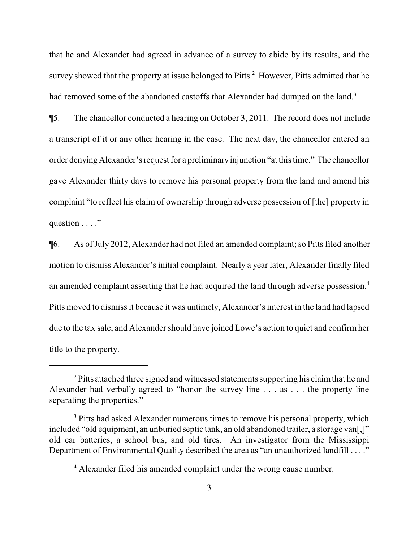that he and Alexander had agreed in advance of a survey to abide by its results, and the survey showed that the property at issue belonged to Pitts.<sup>2</sup> However, Pitts admitted that he had removed some of the abandoned castoffs that Alexander had dumped on the land.<sup>3</sup>

¶5. The chancellor conducted a hearing on October 3, 2011. The record does not include a transcript of it or any other hearing in the case. The next day, the chancellor entered an order denying Alexander's request for a preliminaryinjunction "at this time." The chancellor gave Alexander thirty days to remove his personal property from the land and amend his complaint "to reflect his claim of ownership through adverse possession of [the] property in question . . . ."

¶6. As ofJuly 2012, Alexander had not filed an amended complaint; so Pitts filed another motion to dismiss Alexander's initial complaint. Nearly a year later, Alexander finally filed an amended complaint asserting that he had acquired the land through adverse possession.<sup>4</sup> Pitts moved to dismiss it because it was untimely, Alexander's interest in the land had lapsed due to the tax sale, and Alexander should have joined Lowe's action to quiet and confirm her title to the property.

<sup>&</sup>lt;sup>2</sup> Pitts attached three signed and witnessed statements supporting his claim that he and Alexander had verbally agreed to "honor the survey line . . . as . . . the property line separating the properties."

<sup>&</sup>lt;sup>3</sup> Pitts had asked Alexander numerous times to remove his personal property, which included "old equipment, an unburied septic tank, an old abandoned trailer, a storage van[,]" old car batteries, a school bus, and old tires. An investigator from the Mississippi Department of Environmental Quality described the area as "an unauthorized landfill . . . ."

<sup>&</sup>lt;sup>4</sup> Alexander filed his amended complaint under the wrong cause number.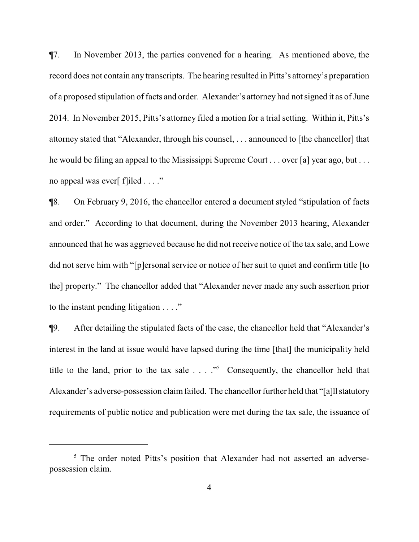¶7. In November 2013, the parties convened for a hearing. As mentioned above, the record does not contain any transcripts. The hearing resulted in Pitts's attorney's preparation of a proposed stipulation of facts and order. Alexander's attorney had not signed it as of June 2014. In November 2015, Pitts's attorney filed a motion for a trial setting. Within it, Pitts's attorney stated that "Alexander, through his counsel, . . . announced to [the chancellor] that he would be filing an appeal to the Mississippi Supreme Court . . . over [a] year ago, but . . . no appeal was ever[ f]iled . . . ."

¶8. On February 9, 2016, the chancellor entered a document styled "stipulation of facts and order." According to that document, during the November 2013 hearing, Alexander announced that he was aggrieved because he did not receive notice of the tax sale, and Lowe did not serve him with "[p]ersonal service or notice of her suit to quiet and confirm title [to the] property." The chancellor added that "Alexander never made any such assertion prior to the instant pending litigation . . . ."

¶9. After detailing the stipulated facts of the case, the chancellor held that "Alexander's interest in the land at issue would have lapsed during the time [that] the municipality held title to the land, prior to the tax sale  $\ldots$  ."<sup>5</sup> Consequently, the chancellor held that Alexander's adverse-possession claim failed. The chancellor further held that "[a]ll statutory requirements of public notice and publication were met during the tax sale, the issuance of

<sup>&</sup>lt;sup>5</sup> The order noted Pitts's position that Alexander had not asserted an adversepossession claim.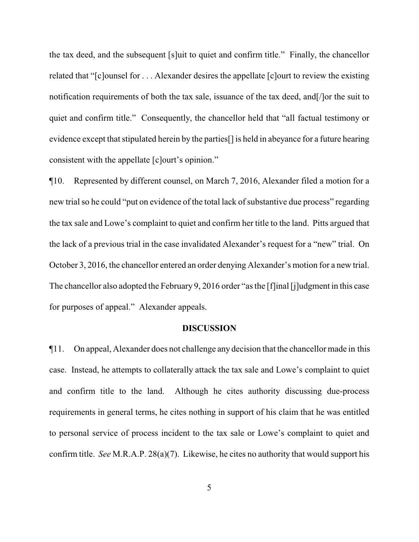the tax deed, and the subsequent [s]uit to quiet and confirm title." Finally, the chancellor related that "[c]ounsel for . . . Alexander desires the appellate [c]ourt to review the existing notification requirements of both the tax sale, issuance of the tax deed, and[/]or the suit to quiet and confirm title." Consequently, the chancellor held that "all factual testimony or evidence except that stipulated herein by the parties[] is held in abeyance for a future hearing consistent with the appellate [c]ourt's opinion."

¶10. Represented by different counsel, on March 7, 2016, Alexander filed a motion for a new trial so he could "put on evidence of the total lack of substantive due process" regarding the tax sale and Lowe's complaint to quiet and confirm her title to the land. Pitts argued that the lack of a previous trial in the case invalidated Alexander's request for a "new" trial. On October 3, 2016, the chancellor entered an order denying Alexander's motion for a new trial. The chancellor also adopted the February 9, 2016 order "as the [f]inal [j]udgment in this case for purposes of appeal." Alexander appeals.

#### **DISCUSSION**

¶11. On appeal, Alexander does not challenge any decision that the chancellor made in this case. Instead, he attempts to collaterally attack the tax sale and Lowe's complaint to quiet and confirm title to the land. Although he cites authority discussing due-process requirements in general terms, he cites nothing in support of his claim that he was entitled to personal service of process incident to the tax sale or Lowe's complaint to quiet and confirm title. *See* M.R.A.P. 28(a)(7). Likewise, he cites no authority that would support his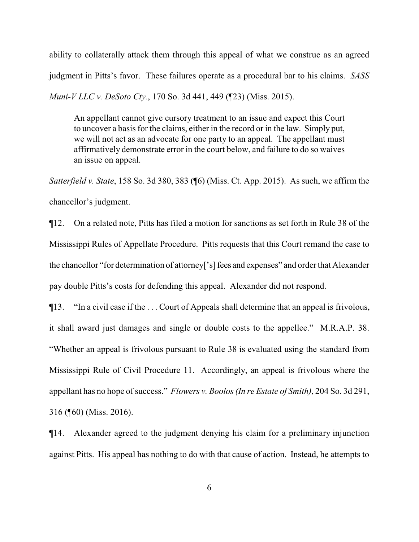ability to collaterally attack them through this appeal of what we construe as an agreed judgment in Pitts's favor. These failures operate as a procedural bar to his claims. *SASS Muni-V LLC v. DeSoto Cty.*, 170 So. 3d 441, 449 (¶23) (Miss. 2015).

An appellant cannot give cursory treatment to an issue and expect this Court to uncover a basis for the claims, either in the record or in the law. Simply put, we will not act as an advocate for one party to an appeal. The appellant must affirmatively demonstrate error in the court below, and failure to do so waives an issue on appeal.

*Satterfield v. State*, 158 So. 3d 380, 383 (¶6) (Miss. Ct. App. 2015). As such, we affirm the chancellor's judgment.

¶12. On a related note, Pitts has filed a motion for sanctions as set forth in Rule 38 of the Mississippi Rules of Appellate Procedure. Pitts requests that this Court remand the case to the chancellor "for determination of attorney['s] fees and expenses" and order that Alexander pay double Pitts's costs for defending this appeal. Alexander did not respond.

¶13. "In a civil case if the . . . Court of Appeals shall determine that an appeal is frivolous, it shall award just damages and single or double costs to the appellee." M.R.A.P. 38. "Whether an appeal is frivolous pursuant to Rule 38 is evaluated using the standard from Mississippi Rule of Civil Procedure 11. Accordingly, an appeal is frivolous where the appellant has no hope of success." *Flowers v. Boolos (In re Estate of Smith)*, 204 So. 3d 291, 316 (¶60) (Miss. 2016).

¶14. Alexander agreed to the judgment denying his claim for a preliminary injunction against Pitts. His appeal has nothing to do with that cause of action. Instead, he attempts to